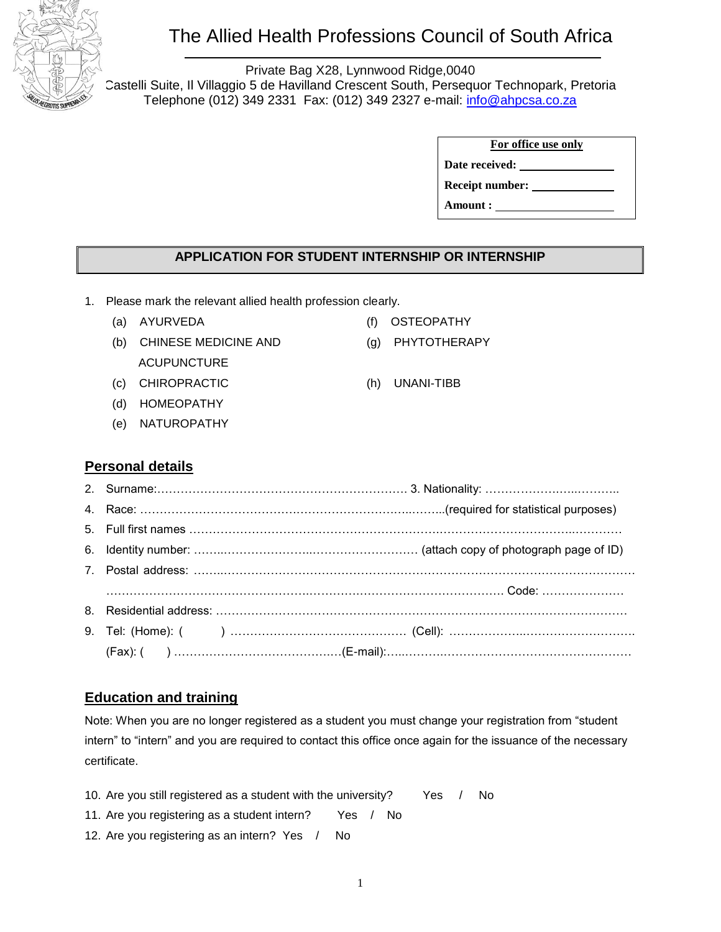

# The Allied Health Professions Council of South Africa

Private Bag X28, Lynnwood Ridge,0040 Castelli Suite, Il Villaggio 5 de Havilland Crescent South, Persequor Technopark, Pretoria Telephone (012) 349 2331 Fax: (012) 349 2327 e-mail: [info@ahpcsa.co.za](mailto:info@ahpcsa.co.za)

| For office use only    |  |  |  |
|------------------------|--|--|--|
| Date received:         |  |  |  |
| <b>Receipt number:</b> |  |  |  |
| Amount :               |  |  |  |

### **APPLICATION FOR STUDENT INTERNSHIP OR INTERNSHIP**

- 1. Please mark the relevant allied health profession clearly.
	-
	- (b) CHINESE MEDICINE AND ACUPUNCTURE
	- (c) CHIROPRACTIC (h) UNANI-TIBB
	- (d) HOMEOPATHY
	- (e) NATUROPATHY
	- (a) AYURVEDA (f) OSTEOPATHY
		- (g) PHYTOTHERAPY
		-

#### **Personal details**

| $(Fax):$ $($ $)$ $($ $)$ $($ $)$ $($ $)$ $($ $)$ $($ $)$ $($ $)$ $($ $)$ $($ $)$ $($ $)$ $($ $)$ $($ $)$ $($ $)$ $($ $)$ $($ $)$ $($ $)$ $($ $)$ $($ $)$ $($ $)$ $($ $)$ $($ $)$ $($ $)$ $($ $)$ $($ $)$ $($ $)$ $($ $)$ $($ $)$ |  |
|----------------------------------------------------------------------------------------------------------------------------------------------------------------------------------------------------------------------------------|--|

### **Education and training**

Note: When you are no longer registered as a student you must change your registration from "student intern" to "intern" and you are required to contact this office once again for the issuance of the necessary certificate.

- 10. Are you still registered as a student with the university? Yes / No
- 11. Are you registering as a student intern? Yes / No
- 12. Are you registering as an intern? Yes / No